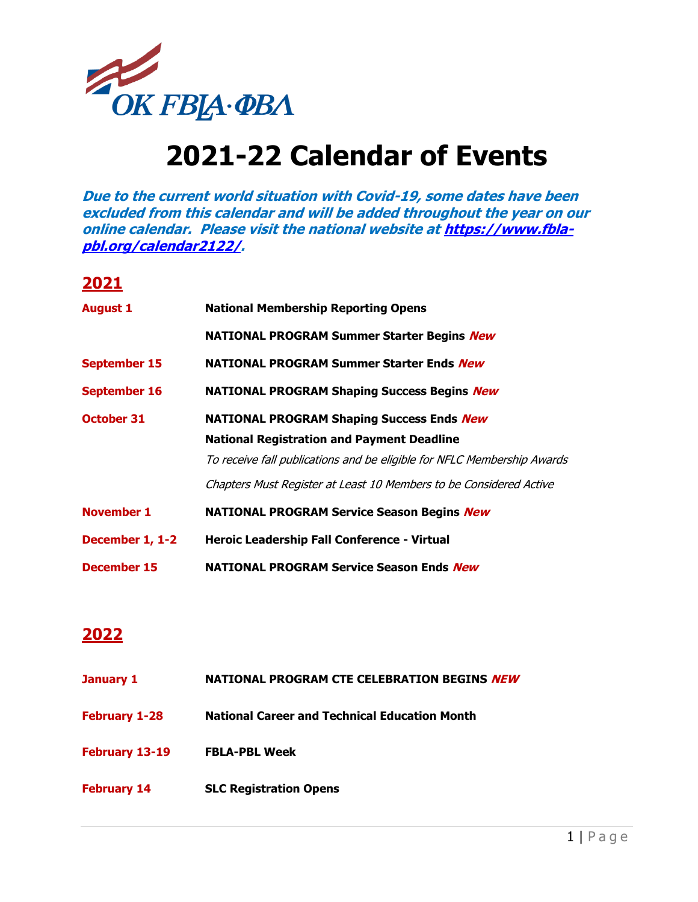

## **2021-22 Calendar of Events**

**Due to the current world situation with Covid-19, some dates have been excluded from this calendar and will be added throughout the year on our online calendar. Please visit the national website a[t https://www.fbla](https://www.fbla-pbl.org/calendar2122/)[pbl.org/calendar2122/.](https://www.fbla-pbl.org/calendar2122/)**

## **2021**

| <b>August 1</b>     | <b>National Membership Reporting Opens</b>                              |
|---------------------|-------------------------------------------------------------------------|
|                     | NATIONAL PROGRAM Summer Starter Begins New                              |
| <b>September 15</b> | <b>NATIONAL PROGRAM Summer Starter Ends New</b>                         |
| <b>September 16</b> | <b>NATIONAL PROGRAM Shaping Success Begins New</b>                      |
| <b>October 31</b>   | <b>NATIONAL PROGRAM Shaping Success Ends New</b>                        |
|                     | <b>National Registration and Payment Deadline</b>                       |
|                     | To receive fall publications and be eligible for NFLC Membership Awards |
|                     | Chapters Must Register at Least 10 Members to be Considered Active      |
| <b>November 1</b>   | <b>NATIONAL PROGRAM Service Season Begins New</b>                       |
| December 1, 1-2     | Heroic Leadership Fall Conference - Virtual                             |
| December 15         | <b>NATIONAL PROGRAM Service Season Ends New</b>                         |

## **2022**

| January 1            | NATIONAL PROGRAM CTE CELEBRATION BEGINS NEW          |
|----------------------|------------------------------------------------------|
| <b>February 1-28</b> | <b>National Career and Technical Education Month</b> |
| February 13-19       | <b>FBLA-PBL Week</b>                                 |
| <b>February 14</b>   | <b>SLC Registration Opens</b>                        |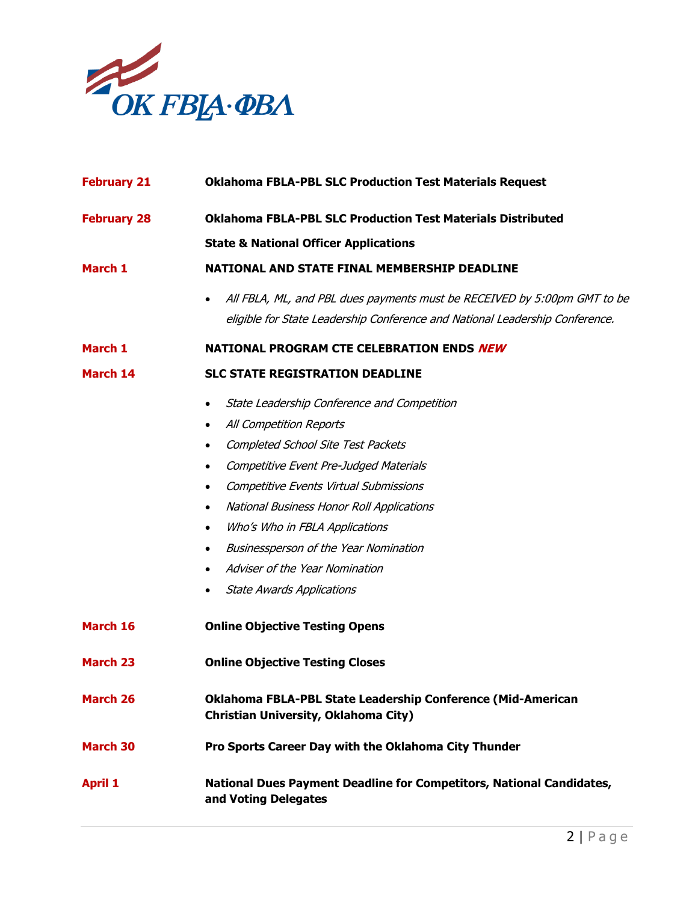

| <b>February 21</b> | <b>Oklahoma FBLA-PBL SLC Production Test Materials Request</b>                                      |
|--------------------|-----------------------------------------------------------------------------------------------------|
| <b>February 28</b> | <b>Oklahoma FBLA-PBL SLC Production Test Materials Distributed</b>                                  |
|                    | <b>State &amp; National Officer Applications</b>                                                    |
| March 1            | NATIONAL AND STATE FINAL MEMBERSHIP DEADLINE                                                        |
|                    | All FBLA, ML, and PBL dues payments must be RECEIVED by 5:00pm GMT to be                            |
|                    | eligible for State Leadership Conference and National Leadership Conference.                        |
| March 1            | NATIONAL PROGRAM CTE CELEBRATION ENDS NEW                                                           |
| March 14           | <b>SLC STATE REGISTRATION DEADLINE</b>                                                              |
|                    | State Leadership Conference and Competition<br>$\bullet$                                            |
|                    | All Competition Reports<br>$\bullet$                                                                |
|                    | <b>Completed School Site Test Packets</b><br>$\bullet$                                              |
|                    | Competitive Event Pre-Judged Materials<br>$\bullet$                                                 |
|                    | Competitive Events Virtual Submissions<br>$\bullet$                                                 |
|                    | National Business Honor Roll Applications<br>$\bullet$                                              |
|                    | Who's Who in FBLA Applications<br>$\bullet$                                                         |
|                    | Businessperson of the Year Nomination<br>٠                                                          |
|                    | Adviser of the Year Nomination                                                                      |
|                    | <b>State Awards Applications</b><br>$\bullet$                                                       |
| March 16           | <b>Online Objective Testing Opens</b>                                                               |
| <b>March 23</b>    | <b>Online Objective Testing Closes</b>                                                              |
| <b>March 26</b>    | Oklahoma FBLA-PBL State Leadership Conference (Mid-American<br>Christian University, Oklahoma City) |
| <b>March 30</b>    | Pro Sports Career Day with the Oklahoma City Thunder                                                |
| <b>April 1</b>     | <b>National Dues Payment Deadline for Competitors, National Candidates,</b><br>and Voting Delegates |